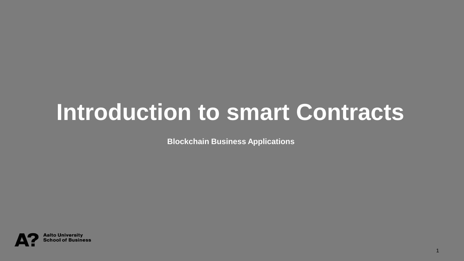### **Introduction to smart Contracts**

**Blockchain Business Applications**

1

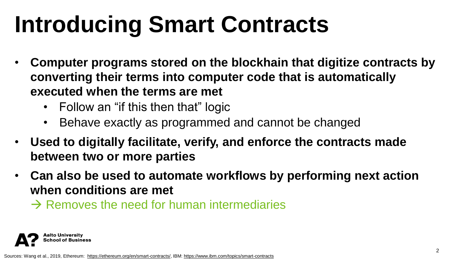## **Introducing Smart Contracts**

- **Computer programs stored on the blockhain that digitize contracts by converting their terms into computer code that is automatically executed when the terms are met** 
	- Follow an "if this then that" logic
	- Behave exactly as programmed and cannot be changed
- **Used to digitally facilitate, verify, and enforce the contracts made between two or more parties**
- **Can also be used to automate workflows by performing next action when conditions are met**
	- $\rightarrow$  Removes the need for human intermediaries

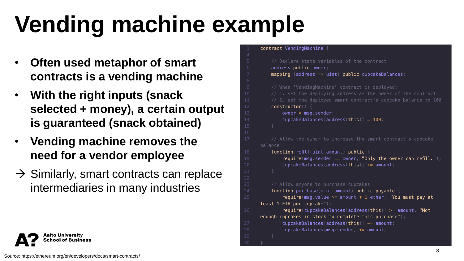# **Vending machine example**

- **Often used metaphor of smart contracts is a vending machine**
- **With the right inputs (snack selected + money), a certain output is guaranteed (snack obtained)**
- **Vending machine removes the need for a vendor employee**
- $\rightarrow$  Similarly, smart contracts can replace intermediaries in many industries

```
contract VendingMachine {
    // Declare state variables of the contract
    address public owner;
    mapping (address \Rightarrow uint) public cupcakeBalances;
    // When 'VendingMachine' contract is deployed:
    // 2. set the deployed smart contract's cupcake balance to 100
    constructor()owner = msg sender;cupcakeBalances [address(this)] = 100,// Allow the owner to increase the smart contract's cupcake
balance
    function refill(uint amount) public {
        require(msq sender == owner, "Only the owner can refill."),
        cupcakeBalances [address(this)] += amount// Allow anyone to purchase cupcakes
    function purchase(uint amount) public payable {
        require(msq value >= amount * 1 ether, "You must pay at
least 1 ETH per cupcake");
        require(cupcakeBalances [address(this]) \geq= amount, "Not
enough cupcakes in stock to complete this purchase");
        cupcakeBalances [address(this)] -= amount,
        cupcakeBalances msq sender + = amount;
```
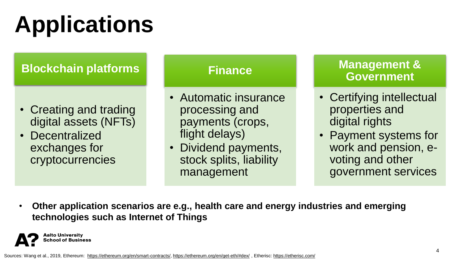# **Applications**

#### **Blockchain platforms**

- Creating and trading digital assets (NFTs)
- Decentralized exchanges for cryptocurrencies

#### **Finance**

- Automatic insurance processing and payments (crops, flight delays)
- Dividend payments, stock splits, liability management

#### **Management & Government**

- Certifying intellectual properties and digital rights
- Payment systems for work and pension, evoting and other government services
- **Other application scenarios are e.g., health care and energy industries and emerging technologies such as Internet of Things**



Sources: Wang et al., 2019, Ethereum: <https://ethereum.org/en/smart-contracts/>,<https://ethereum.org/en/get-eth/#dex/> , Etherisc:<https://etherisc.com/>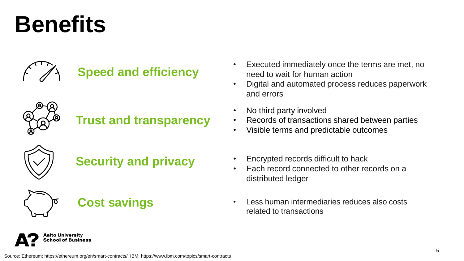## **Benefits**



#### **Speed and efficiency**



#### **Trust and transparency**



#### **Security and privacy**



**\alto University** chool of Business



- Executed immediately once the terms are met, no need to wait for human action
- Digital and automated process reduces paperwork and errors
- No third party involved
- Records of transactions shared between parties
- Visible terms and predictable outcomes
- Encrypted records difficult to hack
- Each record connected to other records on a distributed ledger
- Less human intermediaries reduces also costs related to transactions

Source: Ethereum: https://ethereum.org/en/smart-contracts/ IBM: https://www.ibm.com/topics/smart-contracts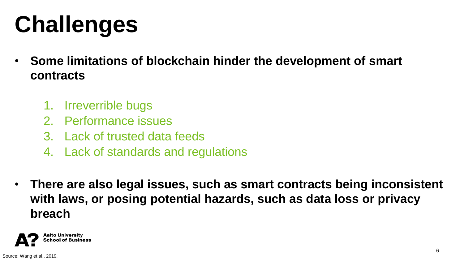# **Challenges**

- **Some limitations of blockchain hinder the development of smart contracts**
	- 1. Irreverrible bugs
	- 2. Performance issues
	- 3. Lack of trusted data feeds
	- 4. Lack of standards and regulations
- **There are also legal issues, such as smart contracts being inconsistent with laws, or posing potential hazards, such as data loss or privacy breach**